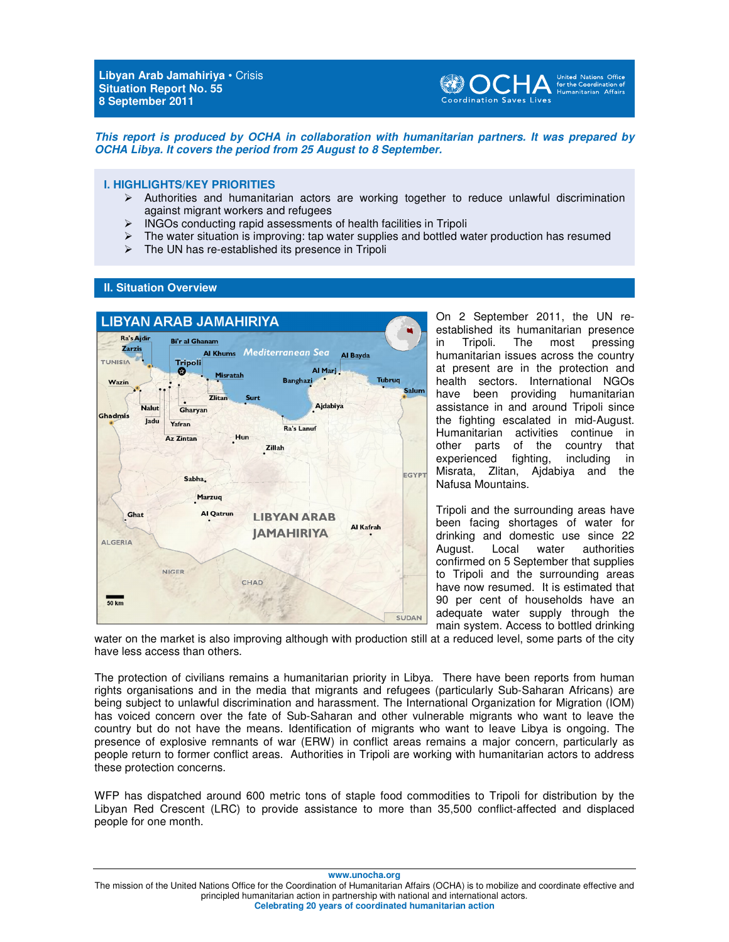**Libyan Arab Jamahiriya** • Crisis **Situation Report No. 55 8 September 2011** 



**This report is produced by OCHA in collaboration with humanitarian partners. It was prepared by OCHA Libya. It covers the period from 25 August to 8 September.** 

### **I. HIGHLIGHTS/KEY PRIORITIES**

- Authorities and humanitarian actors are working together to reduce unlawful discrimination against migrant workers and refugees
- $\triangleright$  INGOs conducting rapid assessments of health facilities in Tripoli
- $\triangleright$  The water situation is improving: tap water supplies and bottled water production has resumed
- $\triangleright$  The UN has re-established its presence in Tripoli

### **II. Situation Overview**



On 2 September 2011, the UN reestablished its humanitarian presence in Tripoli. The most pressing humanitarian issues across the country at present are in the protection and health sectors. International NGOs have been providing humanitarian assistance in and around Tripoli since the fighting escalated in mid-August. Humanitarian activities continue in other parts of the country that<br>experienced fighting, including in experienced fighting, including in Misrata, Zlitan, Ajdabiya and the Nafusa Mountains.

Tripoli and the surrounding areas have been facing shortages of water for drinking and domestic use since 22 August. Local water authorities confirmed on 5 September that supplies to Tripoli and the surrounding areas have now resumed. It is estimated that 90 per cent of households have an adequate water supply through the main system. Access to bottled drinking

water on the market is also improving although with production still at a reduced level, some parts of the city have less access than others.

The protection of civilians remains a humanitarian priority in Libya. There have been reports from human rights organisations and in the media that migrants and refugees (particularly Sub-Saharan Africans) are being subject to unlawful discrimination and harassment. The International Organization for Migration (IOM) has voiced concern over the fate of Sub-Saharan and other vulnerable migrants who want to leave the country but do not have the means. Identification of migrants who want to leave Libya is ongoing. The presence of explosive remnants of war (ERW) in conflict areas remains a major concern, particularly as people return to former conflict areas. Authorities in Tripoli are working with humanitarian actors to address these protection concerns.

WFP has dispatched around 600 metric tons of staple food commodities to Tripoli for distribution by the Libyan Red Crescent (LRC) to provide assistance to more than 35,500 conflict-affected and displaced people for one month.

**www.unocha.org** 

The mission of the United Nations Office for the Coordination of Humanitarian Affairs (OCHA) is to mobilize and coordinate effective and principled humanitarian action in partnership with national and international actors. **Celebrating 20 years of coordinated humanitarian action**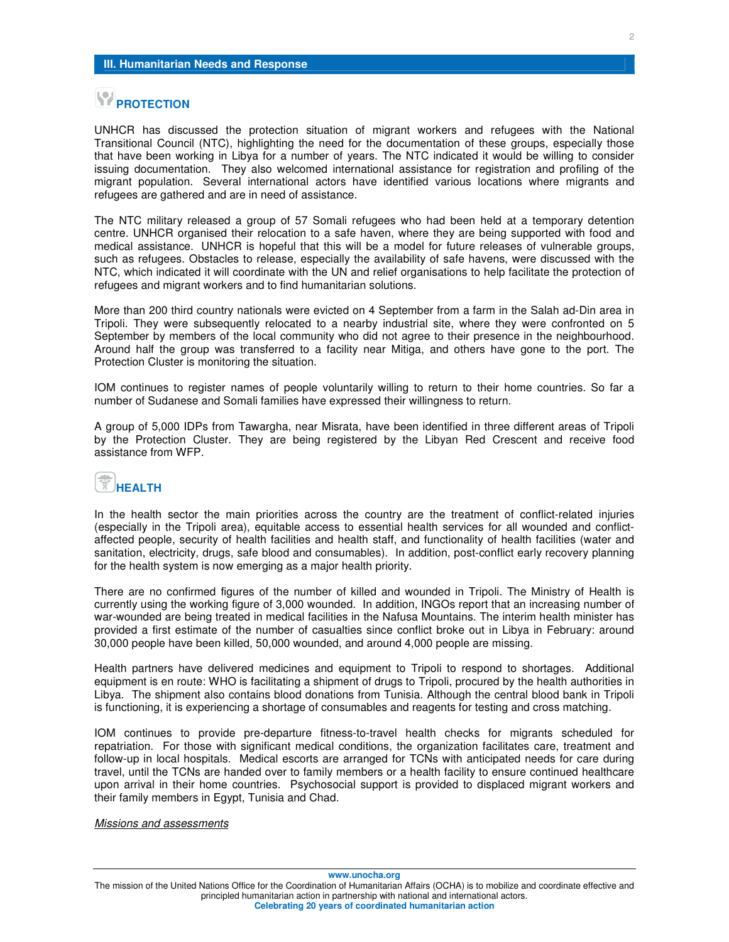# **PROTECTION**

UNHCR has discussed the protection situation of migrant workers and refugees with the National Transitional Council (NTC), highlighting the need for the documentation of these groups, especially those that have been working in Libya for a number of years. The NTC indicated it would be willing to consider issuing documentation. They also welcomed international assistance for registration and profiling of the migrant population. Several international actors have identified various locations where migrants and refugees are gathered and are in need of assistance.

The NTC military released a group of 57 Somali refugees who had been held at a temporary detention centre. UNHCR organised their relocation to a safe haven, where they are being supported with food and medical assistance. UNHCR is hopeful that this will be a model for future releases of vulnerable groups, such as refugees. Obstacles to release, especially the availability of safe havens, were discussed with the NTC, which indicated it will coordinate with the UN and relief organisations to help facilitate the protection of refugees and migrant workers and to find humanitarian solutions.

More than 200 third country nationals were evicted on 4 September from a farm in the Salah ad-Din area in Tripoli. They were subsequently relocated to a nearby industrial site, where they were confronted on 5 September by members of the local community who did not agree to their presence in the neighbourhood. Around half the group was transferred to a facility near Mitiga, and others have gone to the port. The Protection Cluster is monitoring the situation.

IOM continues to register names of people voluntarily willing to return to their home countries. So far a number of Sudanese and Somali families have expressed their willingness to return.

A group of 5,000 IDPs from Tawargha, near Misrata, have been identified in three different areas of Tripoli by the Protection Cluster. They are being registered by the Libyan Red Crescent and receive food assistance from WFP.

### **HEALTH**

In the health sector the main priorities across the country are the treatment of conflict-related injuries (especially in the Tripoli area), equitable access to essential health services for all wounded and conflictaffected people, security of health facilities and health staff, and functionality of health facilities (water and sanitation, electricity, drugs, safe blood and consumables). In addition, post-conflict early recovery planning for the health system is now emerging as a major health priority.

There are no confirmed figures of the number of killed and wounded in Tripoli. The Ministry of Health is currently using the working figure of 3,000 wounded. In addition, INGOs report that an increasing number of war-wounded are being treated in medical facilities in the Nafusa Mountains. The interim health minister has provided a first estimate of the number of casualties since conflict broke out in Libya in February: around 30,000 people have been killed, 50,000 wounded, and around 4,000 people are missing.

Health partners have delivered medicines and equipment to Tripoli to respond to shortages. Additional equipment is en route: WHO is facilitating a shipment of drugs to Tripoli, procured by the health authorities in Libya. The shipment also contains blood donations from Tunisia. Although the central blood bank in Tripoli is functioning, it is experiencing a shortage of consumables and reagents for testing and cross matching.

IOM continues to provide pre-departure fitness-to-travel health checks for migrants scheduled for repatriation. For those with significant medical conditions, the organization facilitates care, treatment and follow-up in local hospitals. Medical escorts are arranged for TCNs with anticipated needs for care during travel, until the TCNs are handed over to family members or a health facility to ensure continued healthcare upon arrival in their home countries. Psychosocial support is provided to displaced migrant workers and their family members in Egypt, Tunisia and Chad.

#### Missions and assessments

**www.unocha.org** 

The mission of the United Nations Office for the Coordination of Humanitarian Affairs (OCHA) is to mobilize and coordinate effective and principled humanitarian action in partnership with national and international actors. **Celebrating 20 years of coordinated humanitarian action**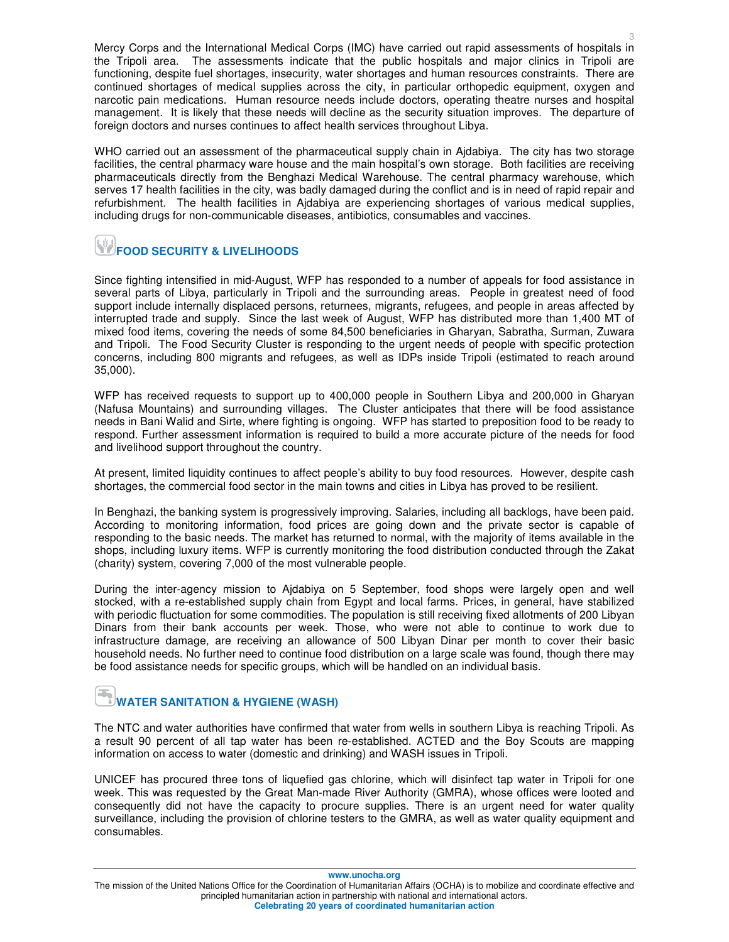Mercy Corps and the International Medical Corps (IMC) have carried out rapid assessments of hospitals in the Tripoli area. The assessments indicate that the public hospitals and major clinics in Tripoli are functioning, despite fuel shortages, insecurity, water shortages and human resources constraints. There are continued shortages of medical supplies across the city, in particular orthopedic equipment, oxygen and narcotic pain medications. Human resource needs include doctors, operating theatre nurses and hospital management. It is likely that these needs will decline as the security situation improves. The departure of foreign doctors and nurses continues to affect health services throughout Libya.

WHO carried out an assessment of the pharmaceutical supply chain in Ajdabiya. The city has two storage facilities, the central pharmacy ware house and the main hospital's own storage. Both facilities are receiving pharmaceuticals directly from the Benghazi Medical Warehouse. The central pharmacy warehouse, which serves 17 health facilities in the city, was badly damaged during the conflict and is in need of rapid repair and refurbishment. The health facilities in Ajdabiya are experiencing shortages of various medical supplies, including drugs for non-communicable diseases, antibiotics, consumables and vaccines.

# **FOOD SECURITY & LIVELIHOODS**

Since fighting intensified in mid-August, WFP has responded to a number of appeals for food assistance in several parts of Libya, particularly in Tripoli and the surrounding areas. People in greatest need of food support include internally displaced persons, returnees, migrants, refugees, and people in areas affected by interrupted trade and supply. Since the last week of August, WFP has distributed more than 1,400 MT of mixed food items, covering the needs of some 84,500 beneficiaries in Gharyan, Sabratha, Surman, Zuwara and Tripoli. The Food Security Cluster is responding to the urgent needs of people with specific protection concerns, including 800 migrants and refugees, as well as IDPs inside Tripoli (estimated to reach around 35,000).

WFP has received requests to support up to 400,000 people in Southern Libya and 200,000 in Gharyan (Nafusa Mountains) and surrounding villages. The Cluster anticipates that there will be food assistance needs in Bani Walid and Sirte, where fighting is ongoing. WFP has started to preposition food to be ready to respond. Further assessment information is required to build a more accurate picture of the needs for food and livelihood support throughout the country.

At present, limited liquidity continues to affect people's ability to buy food resources. However, despite cash shortages, the commercial food sector in the main towns and cities in Libya has proved to be resilient.

In Benghazi, the banking system is progressively improving. Salaries, including all backlogs, have been paid. According to monitoring information, food prices are going down and the private sector is capable of responding to the basic needs. The market has returned to normal, with the majority of items available in the shops, including luxury items. WFP is currently monitoring the food distribution conducted through the Zakat (charity) system, covering 7,000 of the most vulnerable people.

During the inter-agency mission to Ajdabiya on 5 September, food shops were largely open and well stocked, with a re-established supply chain from Egypt and local farms. Prices, in general, have stabilized with periodic fluctuation for some commodities. The population is still receiving fixed allotments of 200 Libyan Dinars from their bank accounts per week. Those, who were not able to continue to work due to infrastructure damage, are receiving an allowance of 500 Libyan Dinar per month to cover their basic household needs. No further need to continue food distribution on a large scale was found, though there may be food assistance needs for specific groups, which will be handled on an individual basis.

# **WATER SANITATION & HYGIENE (WASH)**

The NTC and water authorities have confirmed that water from wells in southern Libya is reaching Tripoli. As a result 90 percent of all tap water has been re-established. ACTED and the Boy Scouts are mapping information on access to water (domestic and drinking) and WASH issues in Tripoli.

UNICEF has procured three tons of liquefied gas chlorine, which will disinfect tap water in Tripoli for one week. This was requested by the Great Man-made River Authority (GMRA), whose offices were looted and consequently did not have the capacity to procure supplies. There is an urgent need for water quality surveillance, including the provision of chlorine testers to the GMRA, as well as water quality equipment and consumables.

**www.unocha.org** 

The mission of the United Nations Office for the Coordination of Humanitarian Affairs (OCHA) is to mobilize and coordinate effective and principled humanitarian action in partnership with national and international actors. **Celebrating 20 years of coordinated humanitarian action**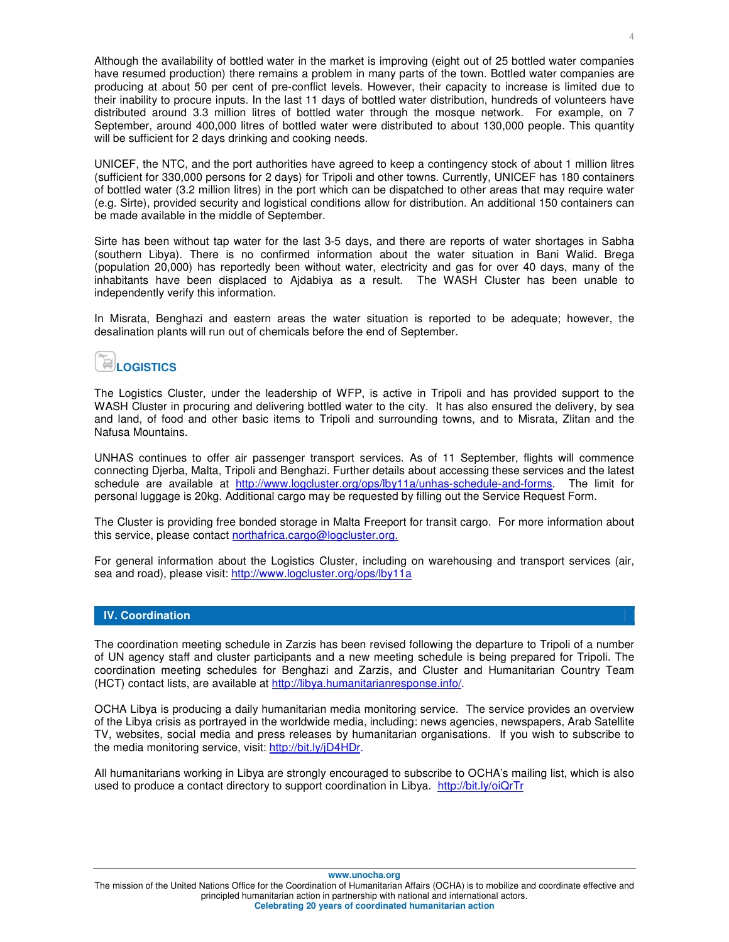Although the availability of bottled water in the market is improving (eight out of 25 bottled water companies have resumed production) there remains a problem in many parts of the town. Bottled water companies are producing at about 50 per cent of pre-conflict levels. However, their capacity to increase is limited due to their inability to procure inputs. In the last 11 days of bottled water distribution, hundreds of volunteers have distributed around 3.3 million litres of bottled water through the mosque network. For example, on 7 September, around 400,000 litres of bottled water were distributed to about 130,000 people. This quantity will be sufficient for 2 days drinking and cooking needs.

UNICEF, the NTC, and the port authorities have agreed to keep a contingency stock of about 1 million litres (sufficient for 330,000 persons for 2 days) for Tripoli and other towns. Currently, UNICEF has 180 containers of bottled water (3.2 million litres) in the port which can be dispatched to other areas that may require water (e.g. Sirte), provided security and logistical conditions allow for distribution. An additional 150 containers can be made available in the middle of September.

Sirte has been without tap water for the last 3-5 days, and there are reports of water shortages in Sabha (southern Libya). There is no confirmed information about the water situation in Bani Walid. Brega (population 20,000) has reportedly been without water, electricity and gas for over 40 days, many of the inhabitants have been displaced to Ajdabiya as a result. The WASH Cluster has been unable to independently verify this information.

In Misrata, Benghazi and eastern areas the water situation is reported to be adequate; however, the desalination plants will run out of chemicals before the end of September.

# **LOGISTICS**

The Logistics Cluster, under the leadership of WFP, is active in Tripoli and has provided support to the WASH Cluster in procuring and delivering bottled water to the city. It has also ensured the delivery, by sea and land, of food and other basic items to Tripoli and surrounding towns, and to Misrata, Zlitan and the Nafusa Mountains.

UNHAS continues to offer air passenger transport services. As of 11 September, flights will commence connecting Djerba, Malta, Tripoli and Benghazi. Further details about accessing these services and the latest schedule are available at http://www.logcluster.org/ops/lby11a/unhas-schedule-and-forms. The limit for personal luggage is 20kg. Additional cargo may be requested by filling out the Service Request Form.

The Cluster is providing free bonded storage in Malta Freeport for transit cargo. For more information about this service, please contact northafrica.cargo@logcluster.org.

For general information about the Logistics Cluster, including on warehousing and transport services (air, sea and road), please visit: http://www.logcluster.org/ops/lby11a

### **IV. Coordination**

The coordination meeting schedule in Zarzis has been revised following the departure to Tripoli of a number of UN agency staff and cluster participants and a new meeting schedule is being prepared for Tripoli. The coordination meeting schedules for Benghazi and Zarzis, and Cluster and Humanitarian Country Team (HCT) contact lists, are available at http://libya.humanitarianresponse.info/.

OCHA Libya is producing a daily humanitarian media monitoring service. The service provides an overview of the Libya crisis as portrayed in the worldwide media, including: news agencies, newspapers, Arab Satellite TV, websites, social media and press releases by humanitarian organisations. If you wish to subscribe to the media monitoring service, visit: http://bit.ly/jD4HDr.

All humanitarians working in Libya are strongly encouraged to subscribe to OCHA's mailing list, which is also used to produce a contact directory to support coordination in Libya. http://bit.ly/oiQrTr

**www.unocha.org** 

The mission of the United Nations Office for the Coordination of Humanitarian Affairs (OCHA) is to mobilize and coordinate effective and principled humanitarian action in partnership with national and international actors. **Celebrating 20 years of coordinated humanitarian action**